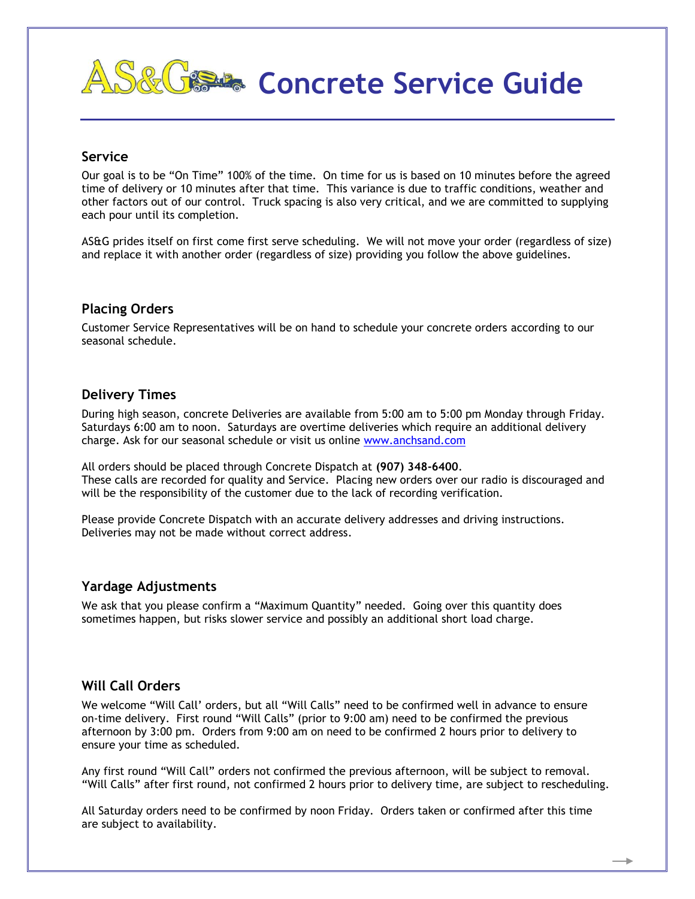# **Concrete Service Guide**

#### **Service**

Our goal is to be "On Time" 100% of the time. On time for us is based on 10 minutes before the agreed time of delivery or 10 minutes after that time. This variance is due to traffic conditions, weather and other factors out of our control. Truck spacing is also very critical, and we are committed to supplying each pour until its completion.

AS&G prides itself on first come first serve scheduling. We will not move your order (regardless of size) and replace it with another order (regardless of size) providing you follow the above guidelines.

#### **Placing Orders**

Customer Service Representatives will be on hand to schedule your concrete orders according to our seasonal schedule.

#### **Delivery Times**

During high season, concrete Deliveries are available from 5:00 am to 5:00 pm Monday through Friday. Saturdays 6:00 am to noon. Saturdays are overtime deliveries which require an additional delivery charge. Ask for our seasonal schedule or visit us online [www.anchsand.com](http://www.anchsand.com/)

All orders should be placed through Concrete Dispatch at **(907) 348-6400**. These calls are recorded for quality and Service. Placing new orders over our radio is discouraged and will be the responsibility of the customer due to the lack of recording verification.

Please provide Concrete Dispatch with an accurate delivery addresses and driving instructions. Deliveries may not be made without correct address.

## **Yardage Adjustments**

We ask that you please confirm a "Maximum Quantity" needed. Going over this quantity does sometimes happen, but risks slower service and possibly an additional short load charge.

## **Will Call Orders**

We welcome "Will Call' orders, but all "Will Calls" need to be confirmed well in advance to ensure on-time delivery. First round "Will Calls" (prior to 9:00 am) need to be confirmed the previous afternoon by 3:00 pm. Orders from 9:00 am on need to be confirmed 2 hours prior to delivery to ensure your time as scheduled.

Any first round "Will Call" orders not confirmed the previous afternoon, will be subject to removal. "Will Calls" after first round, not confirmed 2 hours prior to delivery time, are subject to rescheduling.

All Saturday orders need to be confirmed by noon Friday. Orders taken or confirmed after this time are subject to availability.